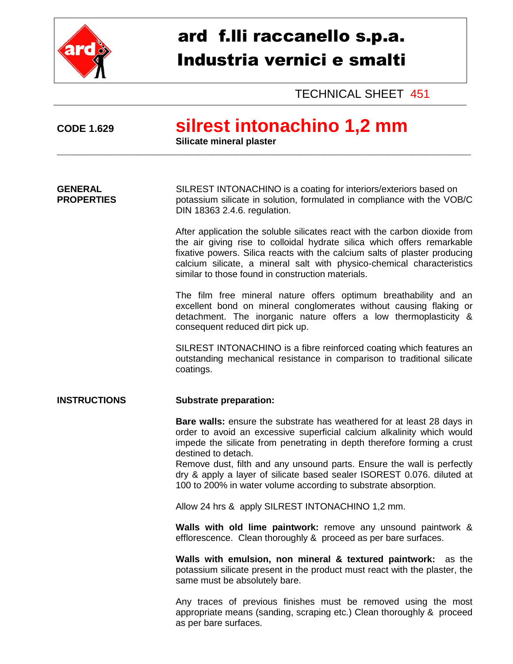

# ard f.lli raccanello s.p.a. Industria vernici e smalti

TECHNICAL SHEET 451

# **CODE 1.629 silrest intonachino 1,2 mm**

**Silicate mineral plaster**

**GENERAL** SILREST INTONACHINO is a coating for interiors/exteriors based on **PROPERTIES** potassium silicate in solution, formulated in compliance with the VOB/C DIN 18363 2.4.6. regulation.

\_\_\_\_\_\_\_\_\_\_\_\_\_\_\_\_\_\_\_\_\_\_\_\_\_\_\_\_\_\_\_\_\_\_\_\_\_\_\_\_\_\_\_\_\_\_\_\_\_\_\_\_\_\_\_\_\_\_\_\_\_\_\_\_\_\_\_\_\_\_\_\_\_\_\_\_\_\_\_\_\_\_\_\_\_\_\_\_\_\_\_\_\_\_\_\_\_\_\_

After application the soluble silicates react with the carbon dioxide from the air giving rise to colloidal hydrate silica which offers remarkable fixative powers. Silica reacts with the calcium salts of plaster producing calcium silicate, a mineral salt with physico-chemical characteristics similar to those found in construction materials.

The film free mineral nature offers optimum breathability and an excellent bond on mineral conglomerates without causing flaking or detachment. The inorganic nature offers a low thermoplasticity & consequent reduced dirt pick up.

SILREST INTONACHINO is a fibre reinforced coating which features an outstanding mechanical resistance in comparison to traditional silicate coatings.

## **INSTRUCTIONS Substrate preparation:**

**Bare walls:** ensure the substrate has weathered for at least 28 days in order to avoid an excessive superficial calcium alkalinity which would impede the silicate from penetrating in depth therefore forming a crust destined to detach.

Remove dust, filth and any unsound parts. Ensure the wall is perfectly dry & apply a layer of silicate based sealer ISOREST 0.076. diluted at 100 to 200% in water volume according to substrate absorption.

Allow 24 hrs & apply SILREST INTONACHINO 1,2 mm.

**Walls with old lime paintwork:** remove any unsound paintwork & efflorescence. Clean thoroughly & proceed as per bare surfaces.

**Walls with emulsion, non mineral & textured paintwork:** as the potassium silicate present in the product must react with the plaster, the same must be absolutely bare.

Any traces of previous finishes must be removed using the most appropriate means (sanding, scraping etc.) Clean thoroughly & proceed as per bare surfaces.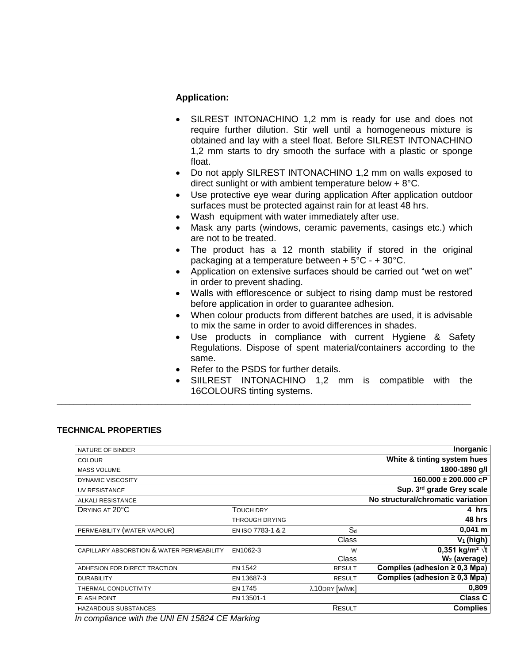### **Application:**

- SILREST INTONACHINO 1,2 mm is ready for use and does not require further dilution. Stir well until a homogeneous mixture is obtained and lay with a steel float. Before SILREST INTONACHINO 1,2 mm starts to dry smooth the surface with a plastic or sponge float.
- Do not apply SILREST INTONACHINO 1,2 mm on walls exposed to direct sunlight or with ambient temperature below + 8°C.
- Use protective eye wear during application After application outdoor surfaces must be protected against rain for at least 48 hrs.
- Wash equipment with water immediately after use.
- Mask any parts (windows, ceramic pavements, casings etc.) which are not to be treated.
- The product has a 12 month stability if stored in the original packaging at a temperature between + 5°C - + 30°C.
- Application on extensive surfaces should be carried out "wet on wet" in order to prevent shading.
- Walls with efflorescence or subject to rising damp must be restored before application in order to guarantee adhesion.
- When colour products from different batches are used, it is advisable to mix the same in order to avoid differences in shades.
- Use products in compliance with current Hygiene & Safety Regulations. Dispose of spent material/containers according to the same.
- Refer to the PSDS for further details.

\_\_\_\_\_\_\_\_\_\_\_\_\_\_\_\_\_\_\_\_\_\_\_\_\_\_\_\_\_\_\_\_\_\_\_\_\_\_\_\_\_\_\_\_\_\_\_\_\_\_\_\_\_\_\_\_\_\_\_\_\_\_\_\_\_\_\_\_\_\_\_\_\_\_\_\_\_\_\_\_\_\_\_\_\_\_\_\_\_\_\_\_\_\_\_\_\_\_\_

 SIILREST INTONACHINO 1,2 mm is compatible with the 16COLOURS tinting systems.

#### **TECHNICAL PROPERTIES**

| NATURE OF BINDER                          |                       |               | Inorganic                             |
|-------------------------------------------|-----------------------|---------------|---------------------------------------|
| <b>COLOUR</b>                             |                       |               | White & tinting system hues           |
| <b>MASS VOLUME</b>                        |                       |               | 1800-1890 g/l                         |
| <b>DYNAMIC VISCOSITY</b>                  |                       |               | $160.000 \pm 200.000$ cP              |
| <b>UV RESISTANCE</b>                      |                       |               | Sup. 3 <sup>rd</sup> grade Grey scale |
| <b>ALKALI RESISTANCE</b>                  |                       |               | No structural/chromatic variation     |
| DRYING AT 20°C                            | <b>TOUCH DRY</b>      |               | 4 hrs                                 |
|                                           | <b>THROUGH DRYING</b> |               | 48 hrs                                |
| PERMEABILITY (WATER VAPOUR)               | EN ISO 7783-1 & 2     | $S_d$         | $0,041 \; m$                          |
|                                           |                       | Class         | $V_1$ (high)                          |
| CAPILLARY ABSORBTION & WATER PERMEABILITY | EN1062-3              | W             | 0,351 kg/m <sup>2</sup> $\sqrt{t}$    |
|                                           |                       | Class         | W <sub>2</sub> (average)              |
| ADHESION FOR DIRECT TRACTION              | <b>EN 1542</b>        | <b>RESULT</b> | Complies (adhesion $\geq$ 0,3 Mpa)    |
| <b>DURABILITY</b>                         | EN 13687-3            | <b>RESULT</b> | Complies (adhesion $\geq$ 0,3 Mpa)    |
| THERMAL CONDUCTIVITY                      | <b>EN 1745</b>        | λ10DRY [W/MK] | 0,809                                 |
| <b>FLASH POINT</b>                        | EN 13501-1            |               | <b>Class C</b>                        |
| <b>HAZARDOUS SUBSTANCES</b>               |                       | RESULT        | <b>Complies</b>                       |
|                                           |                       |               |                                       |

*In compliance with the UNI EN 15824 CE Marking*